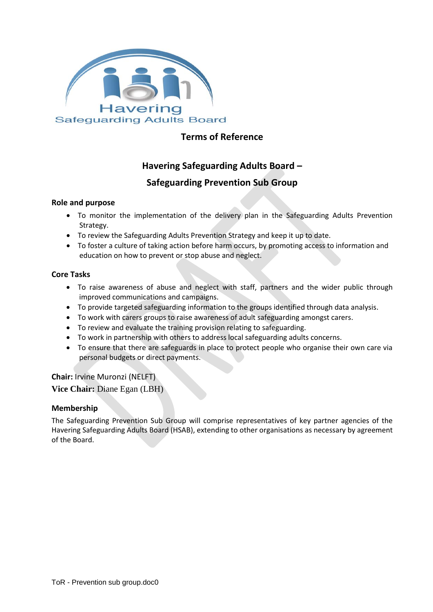

## **Terms of Reference**

# **Havering Safeguarding Adults Board –**

### **Safeguarding Prevention Sub Group**

#### **Role and purpose**

- To monitor the implementation of the delivery plan in the Safeguarding Adults Prevention Strategy.
- To review the Safeguarding Adults Prevention Strategy and keep it up to date.
- To foster a culture of taking action before harm occurs, by promoting access to information and education on how to prevent or stop abuse and neglect.

### **Core Tasks**

- To raise awareness of abuse and neglect with staff, partners and the wider public through improved communications and campaigns.
- To provide targeted safeguarding information to the groups identified through data analysis.
- To work with carers groups to raise awareness of adult safeguarding amongst carers.
- To review and evaluate the training provision relating to safeguarding.
- To work in partnership with others to address local safeguarding adults concerns.
- To ensure that there are safeguards in place to protect people who organise their own care via personal budgets or direct payments.

**Chair:** Irvine Muronzi (NELFT)

**Vice Chair:** Diane Egan (LBH)

#### **Membership**

The Safeguarding Prevention Sub Group will comprise representatives of key partner agencies of the Havering Safeguarding Adults Board (HSAB), extending to other organisations as necessary by agreement of the Board.